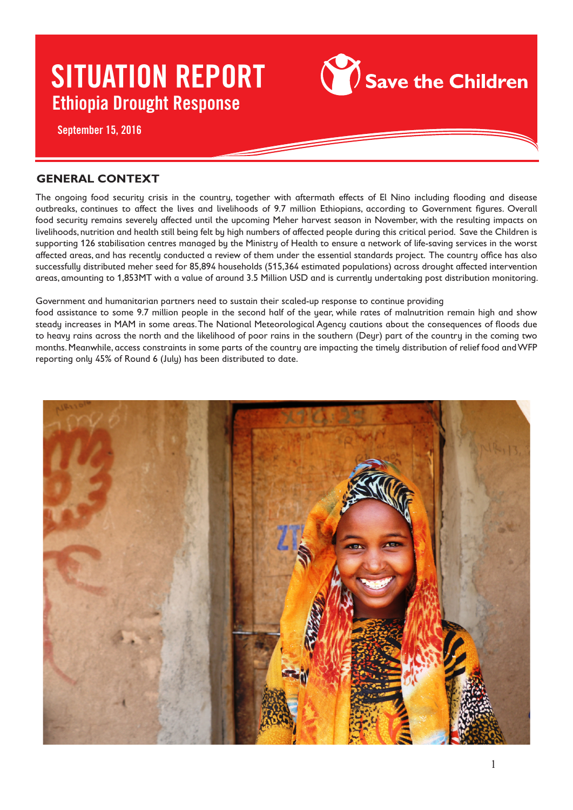

## **GENERAL CONTEXT**

The ongoing food security crisis in the country, together with aftermath effects of El Nino including flooding and disease outbreaks, continues to affect the lives and livelihoods of 9.7 million Ethiopians, according to Government figures. Overall food security remains severely affected until the upcoming Meher harvest season in November, with the resulting impacts on livelihoods, nutrition and health still being felt by high numbers of affected people during this critical period. Save the Children is supporting 126 stabilisation centres managed by the Ministry of Health to ensure a network of life-saving services in the worst affected areas, and has recently conducted a review of them under the essential standards project. The country office has also successfully distributed meher seed for 85,894 households (515,364 estimated populations) across drought affected intervention areas, amounting to 1,853MT with a value of around 3.5 Million USD and is currently undertaking post distribution monitoring.

Government and humanitarian partners need to sustain their scaled-up response to continue providing

food assistance to some 9.7 million people in the second half of the year, while rates of malnutrition remain high and show steady increases in MAM in some areas. The National Meteorological Agency cautions about the consequences of floods due to heavy rains across the north and the likelihood of poor rains in the southern (Deyr) part of the country in the coming two months. Meanwhile, access constraints in some parts of the country are impacting the timely distribution of relief food and WFP reporting only 45% of Round 6 (July) has been distributed to date.

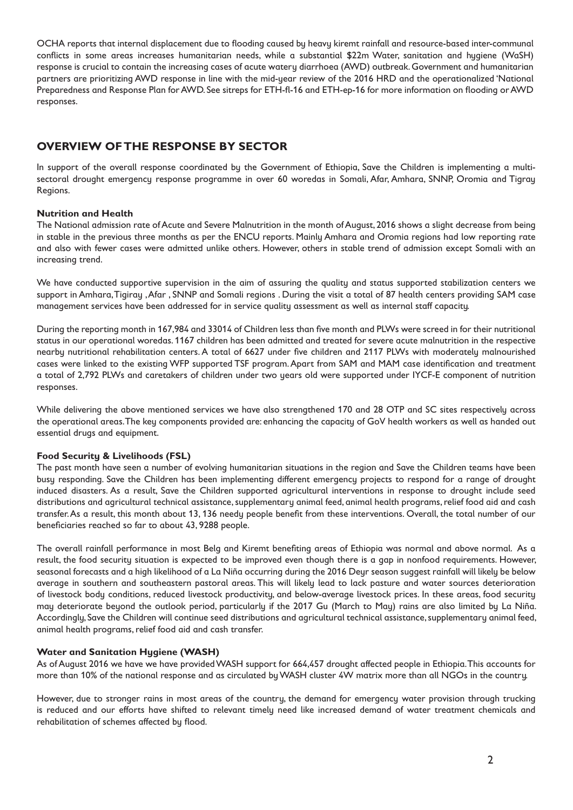OCHA reports that internal displacement due to flooding caused by heavy kiremt rainfall and resource-based inter-communal conflicts in some areas increases humanitarian needs, while a substantial \$22m Water, sanitation and hygiene (WaSH) response is crucial to contain the increasing cases of acute watery diarrhoea (AWD) outbreak. Government and humanitarian partners are prioritizing AWD response in line with the mid-year review of the 2016 HRD and the operationalized 'National Preparedness and Response Plan for AWD. See sitreps for ETH-fl-16 and ETH-ep-16 for more information on flooding or AWD responses.

## **OVERVIEW OF THE RESPONSE BY SECTOR**

In support of the overall response coordinated by the Government of Ethiopia, Save the Children is implementing a multisectoral drought emergency response programme in over 60 woredas in Somali, Afar, Amhara, SNNP, Oromia and Tigray Regions.

#### **Nutrition and Health**

The National admission rate of Acute and Severe Malnutrition in the month of August, 2016 shows a slight decrease from being in stable in the previous three months as per the ENCU reports. Mainly Amhara and Oromia regions had low reporting rate and also with fewer cases were admitted unlike others. However, others in stable trend of admission except Somali with an increasing trend.

We have conducted supportive supervision in the aim of assuring the quality and status supported stabilization centers we support in Amhara, Tigiray , Afar , SNNP and Somali regions . During the visit a total of 87 health centers providing SAM case management services have been addressed for in service quality assessment as well as internal staff capacity.

During the reporting month in 167,984 and 33014 of Children less than five month and PLWs were screed in for their nutritional status in our operational woredas. 1167 children has been admitted and treated for severe acute malnutrition in the respective nearby nutritional rehabilitation centers. A total of 6627 under five children and 2117 PLWs with moderately malnourished cases were linked to the existing WFP supported TSF program. Apart from SAM and MAM case identification and treatment a total of 2,792 PLWs and caretakers of children under two years old were supported under IYCF-E component of nutrition responses.

While delivering the above mentioned services we have also strengthened 170 and 28 OTP and SC sites respectively across the operational areas. The key components provided are: enhancing the capacity of GoV health workers as well as handed out essential drugs and equipment.

#### **Food Security & Livelihoods (FSL)**

The past month have seen a number of evolving humanitarian situations in the region and Save the Children teams have been busy responding. Save the Children has been implementing different emergency projects to respond for a range of drought induced disasters. As a result, Save the Children supported agricultural interventions in response to drought include seed distributions and agricultural technical assistance, supplementary animal feed, animal health programs, relief food aid and cash transfer. As a result, this month about 13, 136 needy people benefit from these interventions. Overall, the total number of our beneficiaries reached so far to about 43, 9288 people.

The overall rainfall performance in most Belg and Kiremt benefiting areas of Ethiopia was normal and above normal. As a result, the food security situation is expected to be improved even though there is a gap in nonfood requirements. However, seasonal forecasts and a high likelihood of a La Niña occurring during the 2016 Deyr season suggest rainfall will likely be below average in southern and southeastern pastoral areas. This will likely lead to lack pasture and water sources deterioration of livestock body conditions, reduced livestock productivity, and below-average livestock prices. In these areas, food security may deteriorate beyond the outlook period, particularly if the 2017 Gu (March to May) rains are also limited by La Niña. Accordingly, Save the Children will continue seed distributions and agricultural technical assistance, supplementary animal feed, animal health programs, relief food aid and cash transfer.

#### **Water and Sanitation Hygiene (WASH)**

As of August 2016 we have we have provided WASH support for 664,457 drought affected people in Ethiopia. This accounts for more than 10% of the national response and as circulated by WASH cluster 4W matrix more than all NGOs in the country.

However, due to stronger rains in most areas of the country, the demand for emergency water provision through trucking is reduced and our efforts have shifted to relevant timely need like increased demand of water treatment chemicals and rehabilitation of schemes affected by flood.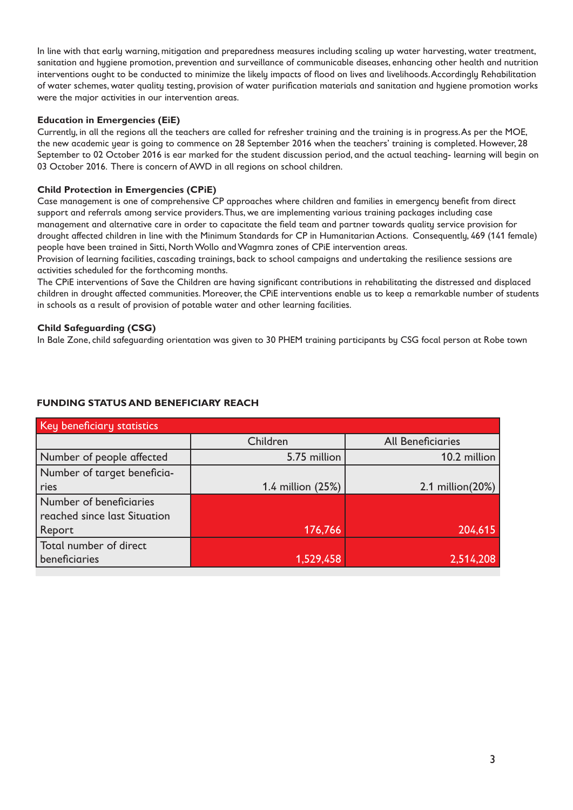In line with that early warning, mitigation and preparedness measures including scaling up water harvesting, water treatment, sanitation and hygiene promotion, prevention and surveillance of communicable diseases, enhancing other health and nutrition interventions ought to be conducted to minimize the likely impacts of flood on lives and livelihoods. Accordingly Rehabilitation of water schemes, water quality testing, provision of water purification materials and sanitation and hygiene promotion works were the major activities in our intervention areas.

#### **Education in Emergencies (EiE)**

Currently, in all the regions all the teachers are called for refresher training and the training is in progress. As per the MOE, the new academic year is going to commence on 28 September 2016 when the teachers' training is completed. However, 28 September to 02 October 2016 is ear marked for the student discussion period, and the actual teaching- learning will begin on 03 October 2016. There is concern of AWD in all regions on school children.

### **Child Protection in Emergencies (CPiE)**

Case management is one of comprehensive CP approaches where children and families in emergency benefit from direct support and referrals among service providers. Thus, we are implementing various training packages including case management and alternative care in order to capacitate the field team and partner towards quality service provision for drought affected children in line with the Minimum Standards for CP in Humanitarian Actions. Consequently, 469 (141 female) people have been trained in Sitti, North Wollo and Wagmra zones of CPiE intervention areas.

Provision of learning facilities, cascading trainings, back to school campaigns and undertaking the resilience sessions are activities scheduled for the forthcoming months.

The CPiE interventions of Save the Children are having significant contributions in rehabilitating the distressed and displaced children in drought affected communities. Moreover, the CPiE interventions enable us to keep a remarkable number of students in schools as a result of provision of potable water and other learning facilities.

#### **Child Safeguarding (CSG)**

In Bale Zone, child safeguarding orientation was given to 30 PHEM training participants by CSG focal person at Robe town

#### **FUNDING STATUS AND BENEFICIARY REACH**

| Key beneficiary statistics   |                   |                          |  |  |  |  |  |  |
|------------------------------|-------------------|--------------------------|--|--|--|--|--|--|
|                              | Children          | <b>All Beneficiaries</b> |  |  |  |  |  |  |
| Number of people affected    | 5.75 million      | 10.2 million             |  |  |  |  |  |  |
| Number of target beneficia-  |                   |                          |  |  |  |  |  |  |
| ries                         | 1.4 million (25%) | 2.1 million(20%)         |  |  |  |  |  |  |
| Number of beneficiaries      |                   |                          |  |  |  |  |  |  |
| reached since last Situation |                   |                          |  |  |  |  |  |  |
| Report                       | 176,766           | 204,615                  |  |  |  |  |  |  |
| Total number of direct       |                   |                          |  |  |  |  |  |  |
| beneficiaries                | 1,529,458         | 2,514,208                |  |  |  |  |  |  |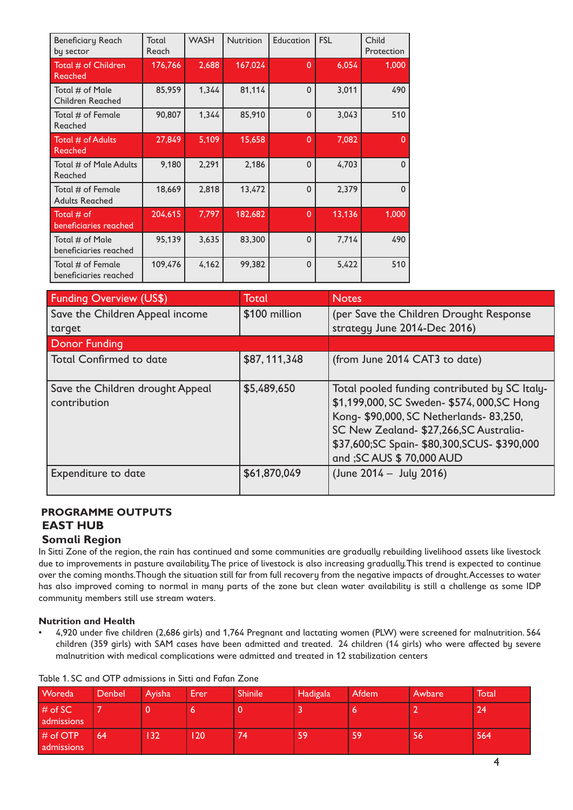| <b>Beneficiary Reach</b><br>by sector      | Total<br>Reach | <b>WASH</b> | <b>Nutrition</b> | Education    | <b>FSL</b> | Child<br>Protection |
|--------------------------------------------|----------------|-------------|------------------|--------------|------------|---------------------|
| Total # of Children<br><b>Reached</b>      | 176,766        | 2,688       | 167,024          | $\mathbf{0}$ | 6,054      | 1,000               |
| Total # of Male<br><b>Children Reached</b> | 85,959         | 1,344       | 81,114           | $\Omega$     | 3,011      | 490                 |
| Total # of Female<br>Reached               | 90,807         | 1,344       | 85,910           | $\Omega$     | 3,043      | 510                 |
| Total # of Adults<br>Reached               | 27,849         | 5,109       | 15,658           | $\mathbf{0}$ | 7,082      | $\Omega$            |
| Total # of Male Adults<br>Reached          | 9,180          | 2,291       | 2,186            | $\mathbf{0}$ | 4,703      | $\Omega$            |
| Total # of Female<br><b>Adults Reached</b> | 18,669         | 2,818       | 13,472           | $\Omega$     | 2,379      | $\Omega$            |
| Total $#$ of<br>beneficiaries reached      | 204,615        | 7,797       | 182,682          | $\mathbf{0}$ | 13,136     | 1,000               |
| Total # of Male<br>beneficiaries reached   | 95,139         | 3,635       | 83,300           | $\Omega$     | 7,714      | 490                 |
| Total # of Female<br>beneficiaries reached | 109,476        | 4,162       | 99,382           | $\mathbf 0$  | 5,422      | 510                 |

| Funding Overview (US\$)                          | Total          | <b>Notes</b>                                                                                                                                                                                                                                                   |
|--------------------------------------------------|----------------|----------------------------------------------------------------------------------------------------------------------------------------------------------------------------------------------------------------------------------------------------------------|
| Save the Children Appeal income                  | \$100 million  | (per Save the Children Drought Response                                                                                                                                                                                                                        |
| target                                           |                | strategy June 2014-Dec 2016)                                                                                                                                                                                                                                   |
| <b>Donor Funding</b>                             |                |                                                                                                                                                                                                                                                                |
| <b>Total Confirmed to date</b>                   | \$87, 111, 348 | (from June 2014 CAT3 to date)                                                                                                                                                                                                                                  |
| Save the Children drought Appeal<br>contribution | \$5,489,650    | Total pooled funding contributed by SC Italy-<br>\$1,199,000, SC Sweden- \$574, 000, SC Hong<br>Kong- \$90,000, SC Netherlands- 83,250,<br>SC New Zealand- \$27,266, SC Australia-<br>\$37,600;SC Spain- \$80,300,SCUS- \$390,000<br>and ; SC AUS \$70,000 AUD |
| Expenditure to date                              | \$61,870,049   | (June $2014 -$ July 2016)                                                                                                                                                                                                                                      |

# **PROGRAMME OUTPUTS EAST HUB**

## **Somali Region**

In Sitti Zone of the region, the rain has continued and some communities are gradually rebuilding livelihood assets like livestock due to improvements in pasture availability. The price of livestock is also increasing gradually. This trend is expected to continue over the coming months. Though the situation still far from full recovery from the negative impacts of drought. Accesses to water has also improved coming to normal in many parts of the zone but clean water availability is still a challenge as some IDP community members still use stream waters.

## **Nutrition and Health**

4,920 under five children (2,686 girls) and 1,764 Pregnant and lactating women (PLW) were screened for malnutrition. 564 children (359 girls) with SAM cases have been admitted and treated. 24 children (14 girls) who were affected by severe malnutrition with medical complications were admitted and treated in 12 stabilization centers

| <b>Woreda</b>            | Denbel | Ayisha | Erer | <b>Shinile</b> | Hadigala | Afdem | Awbare | Total |
|--------------------------|--------|--------|------|----------------|----------|-------|--------|-------|
| $#$ of SC<br>admissions  |        |        | O    |                |          |       |        | 24'   |
| $#$ of OTP<br>admissions | 64     | 32     | 20   | 74             | 59       | 59    | 56     | 564   |

#### Table 1. SC and OTP admissions in Sitti and Fafan Zone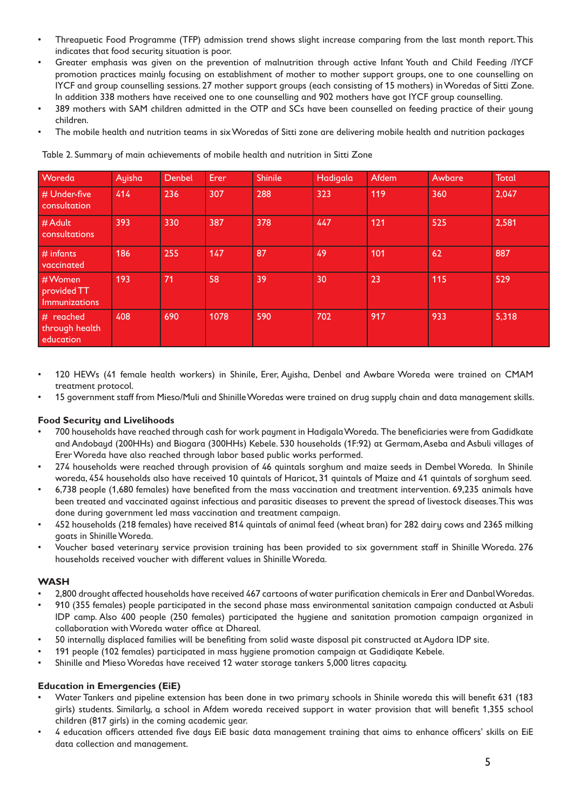- Threapuetic Food Programme (TFP) admission trend shows slight increase comparing from the last month report. This indicates that food security situation is poor.
- Greater emphasis was given on the prevention of malnutrition through active Infant Youth and Child Feeding /IYCF promotion practices mainly focusing on establishment of mother to mother support groups, one to one counselling on IYCF and group counselling sessions. 27 mother support groups (each consisting of 15 mothers) in Woredas of Sitti Zone. In addition 338 mothers have received one to one counselling and 902 mothers have got IYCF group counselling.
- 389 mothers with SAM children admitted in the OTP and SCs have been counselled on feeding practice of their young children.
- The mobile health and nutrition teams in six Woredas of Sitti zone are delivering mobile health and nutrition packages

| Woreda                                   | Ayisha | Denbel | Erer | <b>Shinile</b> | Hadigala | Afdem | Awbare | <b>Total</b> |
|------------------------------------------|--------|--------|------|----------------|----------|-------|--------|--------------|
| # Under-five<br>consultation             | 414    | 236    | 307  | 288            | 323      | 119   | 360    | 2,047        |
| # Adult<br>consultations                 | 393    | 330    | 387  | 378            | 447      | 121   | 525    | 2,581        |
| $#$ infants<br>vaccinated                | 186    | 255    | 147  | 87             | 49       | 101   | 62     | 887          |
| #Women<br>provided TT<br>Immunizations   | 193    | 71     | 58   | 39             | 30       | 23    | 115    | 529          |
| # reached<br>through health<br>education | 408    | 690    | 1078 | 590            | 702      | 917   | 933    | 5,318        |

Table 2. Summary of main achievements of mobile health and nutrition in Sitti Zone

- 120 HEWs (41 female health workers) in Shinile, Erer, Ayisha, Denbel and Awbare Woreda were trained on CMAM treatment protocol.
- 15 government staff from Mieso/Muli and Shinille Woredas were trained on drug supply chain and data manggement skills.

#### **Food Security and Livelihoods**

- 700 households have reached through cash for work payment in Hadigala Woreda. The beneficiaries were from Gadidkate and Andobayd (200HHs) and Biogara (300HHs) Kebele. 530 households (1F:92) at Germam, Aseba and Asbuli villages of Erer Woreda have also reached through labor based public works performed.
- 274 households were reached through provision of 46 quintals sorghum and maize seeds in Dembel Woreda. In Shinile woreda, 454 households also have received 10 quintals of Haricot, 31 quintals of Maize and 41 quintals of sorghum seed.
- 6,738 people (1,680 females) have benefited from the mass vaccination and treatment intervention. 69,235 animals have been treated and vaccinated against infectious and parasitic diseases to prevent the spread of livestock diseases. This was done during government led mass vaccination and treatment campaign.
- 452 households (218 females) have received 814 quintals of animal feed (wheat bran) for 282 dairy cows and 2365 milking goats in Shinille Woreda.
- • Voucher based veterinary service provision training has been provided to six government staff in Shinille Woreda. 276 households received voucher with different values in Shinille Woreda.

#### **WASH**

- 2,800 drought affected households have received 467 cartoons of water purification chemicals in Erer and Danbal Woredas.
- 910 (355 females) people participated in the second phase mass environmental sanitation campaign conducted at Asbuli IDP camp. Also 400 people (250 females) participated the hygiene and sanitation promotion campaign organized in collaboration with Woreda water office at Dhareal.
- 50 internally displaced families will be benefiting from solid waste disposal pit constructed at Aydora IDP site.
- 191 people (102 females) participated in mass hygiene promotion campaign at Gadidiqate Kebele.
- Shinille and Mieso Woredas have received 12 water storage tankers 5,000 litres capacity.

#### **Education in Emergencies (EiE)**

- • Water Tankers and pipeline extension has been done in two primary schools in Shinile woreda this will benefit 631 (183 girls) students. Similarly, a school in Afdem woreda received support in water provision that will benefit 1,355 school children (817 girls) in the coming academic year.
- 4 education officers attended five days EiE basic data management training that aims to enhance officers' skills on EiE data collection and management.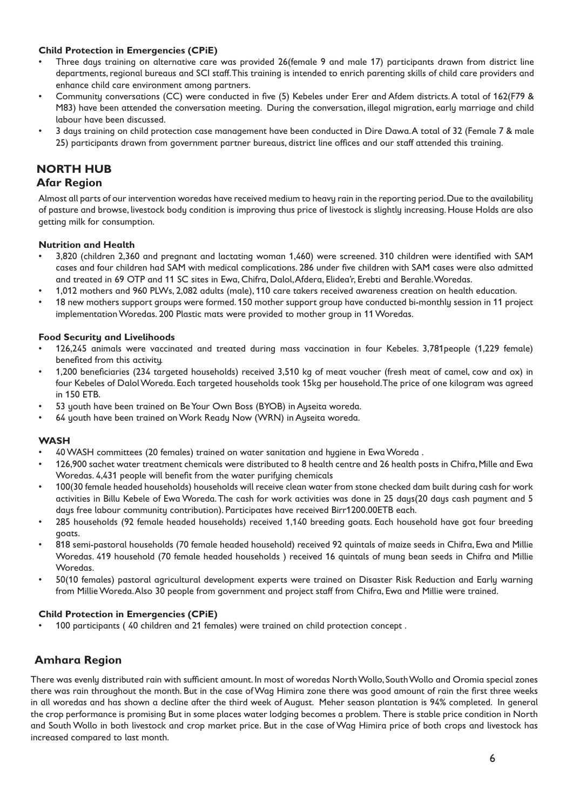### **Child Protection in Emergencies (CPiE)**

- Three days training on alternative care was provided 26(female 9 and male 17) participants drawn from district line departments, regional bureaus and SCI staff. This training is intended to enrich parenting skills of child care providers and enhance child care environment among partners.
- • Community conversations (CC) were conducted in five (5) Kebeles under Erer and Afdem districts. A total of 162(F79 & M83) have been attended the conversation meeting. During the conversation, illegal migration, early marriage and child labour have been discussed.
- 3 days training on child protection case management have been conducted in Dire Dawa. A total of 32 (Female 7 & male 25) participants drawn from government partner bureaus, district line offices and our staff attended this training.

# **NORTH HUB**

### **Afar Region**

Almost all parts of our intervention woredas have received medium to heavy rain in the reporting period. Due to the availability of pasture and browse, livestock body condition is improving thus price of livestock is slightly increasing. House Holds are also getting milk for consumption.

#### **Nutrition and Health**

- 3,820 (children 2,360 and pregnant and lactating woman 1,460) were screened. 310 children were identified with SAM cases and four children had SAM with medical complications. 286 under five children with SAM cases were also admitted and treated in 69 OTP and 11 SC sites in Ewa, Chifra, Dalol, Afdera, Elidea'r, Erebti and Berahle. Woredas.
- 1,012 mothers and 960 PLWs, 2,082 adults (male), 110 care takers received awareness creation on health education.
- 18 new mothers support groups were formed. 150 mother support group have conducted bi-monthly session in 11 project implementation Woredas. 200 Plastic mats were provided to mother group in 11 Woredas.

#### **Food Security and Livelihoods**

- 126,245 animals were vaccinated and treated during mass vaccination in four Kebeles. 3,781people (1,229 female) benefited from this activity.
- 1,200 beneficiaries (234 targeted households) received 3,510 kg of meat voucher (fresh meat of camel, cow and ox) in four Kebeles of Dalol Woreda. Each targeted households took 15kg per household. The price of one kilogram was agreed in 150 ETB.
- 53 youth have been trained on Be Your Own Boss (BYOB) in Ayseita woreda.
- 64 youth have been trained on Work Ready Now (WRN) in Ayseita woreda.

#### **WASH**

- 40 WASH committees (20 females) trained on water sanitation and hygiene in Ewa Woreda.
- 126,900 sachet water treatment chemicals were distributed to 8 health centre and 26 health posts in Chifra, Mille and Ewa Woredas. 4,431 people will benefit from the water purifying chemicals
- 100(30 female headed households) households will receive clean water from stone checked dam built during cash for work activities in Billu Kebele of Ewa Woreda. The cash for work activities was done in 25 days(20 days cash payment and 5 days free labour community contribution). Participates have received Birr1200.00ETB each.
- 285 households (92 female headed households) received 1,140 breeding goats. Each household have got four breeding goats
- 818 semi-pastoral households (70 female headed household) received 92 quintals of maize seeds in Chifra, Ewa and Millie Woredas. 419 household (70 female headed households ) received 16 quintals of mung bean seeds in Chifra and Millie Woredas.
- 50(10 females) pastoral agricultural development experts were trained on Disaster Risk Reduction and Early warning from Millie Woreda. Also 30 people from government and project staff from Chifra, Ewa and Millie were trained.

#### **Child Protection in Emergencies (CPiE)**

100 participants (40 children and 21 females) were trained on child protection concept.

## **Amhara Region**

There was evenly distributed rain with sufficient amount. In most of woredas North Wollo, South Wollo and Oromia special zones there was rain throughout the month. But in the case of Wag Himira zone there was good amount of rain the first three weeks in all woredas and has shown a decline after the third week of August. Meher season plantation is 94% completed. In general the crop performance is promising But in some places water lodging becomes a problem. There is stable price condition in North and South Wollo in both livestock and crop market price. But in the case of Wag Himira price of both crops and livestock has increased compared to last month.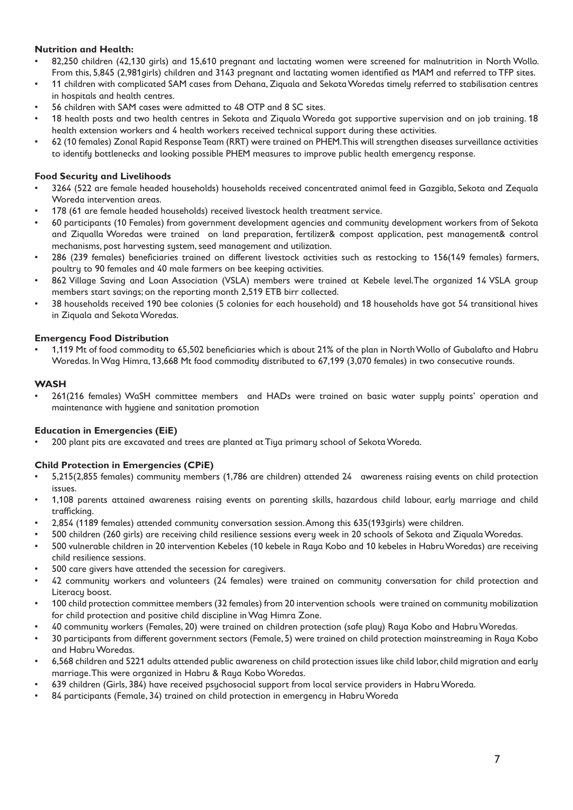#### **Nutrition and Health:**

- 82,250 children (42,130 girls) and 15,610 pregnant and lactating women were screened for malnutrition in North Wollo. From this, 5,845 (2,981girls) children and 3143 pregnant and lactating women identified as MAM and referred to TFP sites.
- 11 children with complicated SAM cases from Dehana, Ziquala and Sekota Woredas timely referred to stabilisation centres in hospitals and health centres.
- 56 children with SAM cases were admitted to 48 OTP and 8 SC sites.
- 18 health posts and two health centres in Sekota and Ziquala Woreda got supportive supervision and on job training. 18 health extension workers and 4 health workers received technical support during these activities.
- 62 (10 females) Zonal Rapid Response Team (RRT) were trained on PHEM. This will strengthen diseases surveillance activities to identify bottlenecks and looking possible PHEM measures to improve public health emergency response.

#### **Food Security and Livelihoods**

- 3264 (522 are female headed households) households received concentrated animal feed in Gazgibla, Sekota and Zequala Woreda intervention areas.
- 178 (61 are female headed households) received livestock health treatment service.
- • 60 participants (10 Females) from government development agencies and community development workers from of Sekota and Ziqualla Woredas were trained on land preparation, fertilizer& compost application, pest management& control mechanisms, post harvesting system, seed management and utilization.
- 286 (239 females) beneficiaries trained on different livestock activities such as restocking to 156(149 females) farmers, poultry to 90 females and 40 male farmers on bee keeping activities.
- 862 Village Saving and Loan Association (VSLA) members were trained at Kebele level. The organized 14 VSLA group members start savings; on the reporting month 2,519 ETB birr collected.
- • 38 households received 190 bee colonies (5 colonies for each household) and 18 households have got 54 transitional hives in Ziquala and Sekota Woredas.

#### **Emergency Food Distribution**

1,119 Mt of food commodity to 65,502 beneficiaries which is about 21% of the plan in North Wollo of Gubalafto and Habru Woredas. In Wag Himra, 13,668 Mt food commodity distributed to 67,199 (3,070 females) in two consecutive rounds.

#### **WASH**

261(216 females) WaSH committee members and HADs were trained on basic water supply points' operation and maintenance with hygiene and sanitation promotion

#### **Education in Emergencies (EiE)**

200 plant pits are excavated and trees are planted at Tiya primary school of Sekota Woreda.

#### **Child Protection in Emergencies (CPiE)**

- • 5,215(2,855 females) community members (1,786 are children) attended 24 awareness raising events on child protection issues.
- 1,108 parents attained awareness raising events on parenting skills, hazardous child labour, early marriage and child trafficking.
- 2,854 (1189 females) attended community conversation session. Among this 635(193girls) were children.
- 500 children (260 girls) are receiving child resilience sessions every week in 20 schools of Sekota and Ziquala Woredas.
- 500 vulnerable children in 20 intervention Kebeles (10 kebele in Raya Kobo and 10 kebeles in Habru Woredas) are receiving child resilience sessions.
- 500 care givers have attended the secession for caregivers.
- 42 community workers and volunteers (24 females) were trained on community conversation for child protection and Literacy boost.
- 100 child protection committee members (32 females) from 20 intervention schools were trained on community mobilization for child protection and positive child discipline in Wag Himra Zone.
- • 40 community workers (Females, 20) were trained on children protection (safe play) Raya Kobo and Habru Woredas.
- 30 participants from different government sectors (Female, 5) were trained on child protection mainstreaming in Raya Kobo and Habru Woredas.
- 6,568 children and 5221 adults attended public awareness on child protection issues like child labor, child migration and early marriage. This were organized in Habru & Raya Kobo Woredas.
- 639 children (Girls, 384) have received psychosocial support from local service providers in Habru Woreda.
- 84 participants (Female, 34) trained on child protection in emergency in Habru Woreda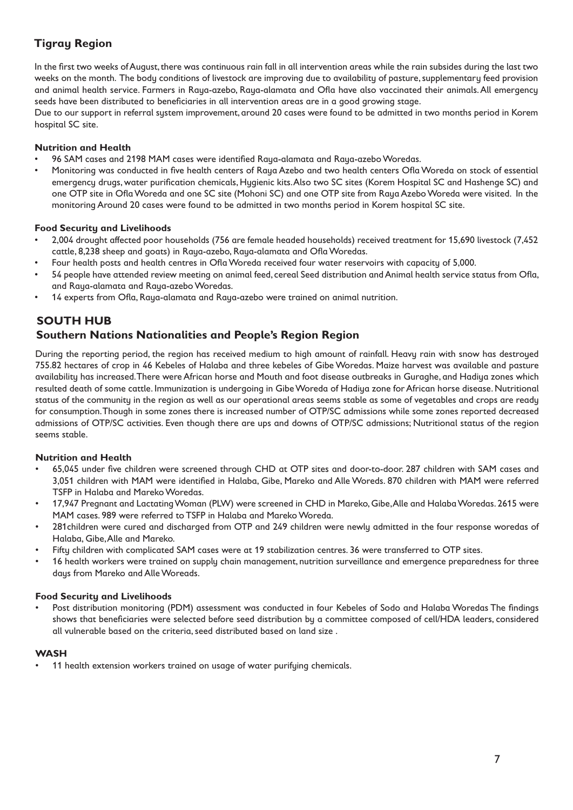# **Tigray Region**

In the first two weeks of August, there was continuous rain fall in all intervention areas while the rain subsides during the last two weeks on the month. The body conditions of livestock are improving due to availability of pasture, supplementary feed provision and animal health service. Farmers in Raya-azebo, Raya-alamata and Ofla have also vaccinated their animals. All emergency seeds have been distributed to beneficiaries in all intervention areas are in a good growing stage.

Due to our support in referral system improvement, around 20 cases were found to be admitted in two months period in Korem hospital SC site.

### **Nutrition and Health**

- 96 SAM cases and 2198 MAM cases were identified Raya-alamata and Raya-azebo Woredas.
- Monitoring was conducted in five health centers of Raya Azebo and two health centers Ofla Woreda on stock of essential emergency drugs, water purification chemicals, Hygienic kits. Also two SC sites (Korem Hospital SC and Hashenge SC) and one OTP site in Ofla Woreda and one SC site (Mohoni SC) and one OTP site from Raya Azebo Woreda were visited. In the monitoring Around 20 cases were found to be admitted in two months period in Korem hospital SC site.

### **Food Security and Livelihoods**

- • 2,004 drought affected poor households (756 are female headed households) received treatment for 15,690 livestock (7,452 cattle, 8,238 sheep and goats) in Raya-azebo, Raya-alamata and Ofla Woredas.
- Four health posts and health centres in Ofla Woreda received four water reservoirs with capacity of 5,000.
- 54 people have attended review meeting on animal feed, cereal Seed distribution and Animal health service status from Ofla, and Raya-alamata and Raya-azebo Woredas.
- 14 experts from Ofla, Raya-alamata and Raya-azebo were trained on animal nutrition.

## **SOUTH HUB**

## **Southern Nations Nationalities and People's Region Region**

During the reporting period, the region has received medium to high amount of rainfall. Heavy rain with snow has destroyed 755.82 hectares of crop in 46 Kebeles of Halaba and three kebeles of Gibe Woredas. Maize harvest was available and pasture availability has increased. There were African horse and Mouth and foot disease outbreaks in Guraghe, and Hadiya zones which resulted death of some cattle. Immunization is undergoing in Gibe Woreda of Hadiya zone for African horse disease. Nutritional status of the community in the region as well as our operational areas seems stable as some of vegetables and crops are ready for consumption. Though in some zones there is increased number of OTP/SC admissions while some zones reported decreased admissions of OTP/SC activities. Even though there are ups and downs of OTP/SC admissions; Nutritional status of the region seems stable.

#### **Nutrition and Health**

- 65,045 under five children were screened through CHD at OTP sites and door-to-door. 287 children with SAM cases and 3,051 children with MAM were identified in Halaba, Gibe, Mareko and Alle Woreds. 870 children with MAM were referred TSFP in Halaba and Mareko Woredas.
- 17,947 Pregnant and Lactating Woman (PLW) were screened in CHD in Mareko, Gibe, Alle and Halaba Woredas. 2615 were MAM cases. 989 were referred to TSFP in Halaba and Mareko Woreda.
- 281 children were cured and discharged from OTP and 249 children were newly admitted in the four response woredas of Halaba, Gibe, Alle and Mareko.
- Fifty children with complicated SAM cases were at 19 stabilization centres. 36 were transferred to OTP sites.
- 16 health workers were trained on supply chain management, nutrition surveillance and emergence preparedness for three days from Mareko and Alle Woreads.

#### **Food Security and Livelihoods**

Post distribution monitoring (PDM) assessment was conducted in four Kebeles of Sodo and Halaba Woredas The findings shows that beneficiaries were selected before seed distribution by a committee composed of cell/HDA leaders, considered all vulnerable based on the criteria, seed distributed based on land size .

#### **WASH**

11 health extension workers trained on usage of water purifying chemicals.